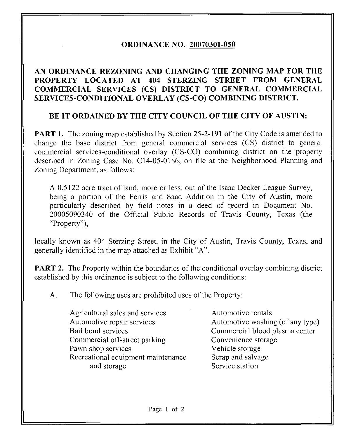## ORDINANCE NO. 20070301-050

## AN ORDINANCE REZONING AND CHANGING THE ZONING MAP FOR THE PROPERTY LOCATED AT 404 STERZ1NG STREET FROM GENERAL COMMERCIAL SERVICES (CS) DISTRICT TO GENERAL COMMERCIAL SERVICES-CONDITIONAL OVERLAY (CS-CO) COMBINING DISTRICT.

## BE IT ORDAINED BY THE CITY COUNCIL OF THE CITY OF AUSTIN:

**PART 1.** The zoning map established by Section 25-2-191 of the City Code is amended to change the base district from general commercial services (CS) district to general commercial services-conditional overlay (CS-CO) combining district on the property described in Zoning Case No. C14-05-0186, on file at the Neighborhood Planning and Zoning Department, as follows:

A 0.5122 acre tract of land, more or less, out of the Isaac Decker League Survey, being a portion of the Ferris and Saad Addition in the City of Austin, more particularly described by field notes in a deed of record in Document No. 20005090340 of the Official Public Records of Travis County, Texas (the "Property"),

locally known as 404 Sterzing Street, in the City of Austin, Travis County, Texas, and generally identified in the map attached as Exhibit "A".

**PART 2.** The Property within the boundaries of the conditional overlay combining district established by this ordinance is subject to the following conditions:

A. The following uses are prohibited uses of the Property:

Agricultural sales and services Automotive rentals Automotive repair services Automotive washing (of any type) Bail bond services Commercial blood plasma center Commercial off-street parking Convenience storage Pawn shop services Vehicle storage Recreational equipment maintenance Scrap and salvage and storage Service station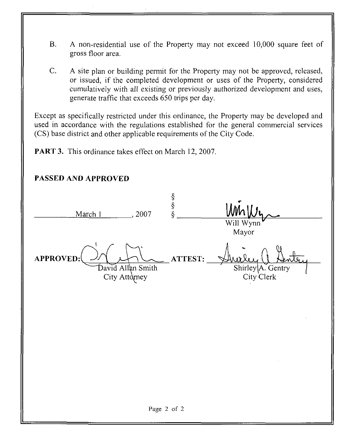- B. A non-residential use of the Property may not exceed 10,000 square feet of gross floor area.
- C. A site plan or building permit for the Property may not be approved, released, or issued, if the completed development or uses of the Property, considered cumulatively with all existing or previously authorized development and uses, generate traffic that exceeds 650 trips per day.

Except as specifically restricted under this ordinance, the Property may be developed and used in accordance with the regulations established for the general commercial services (CS) base district and other applicable requirements of the City Code.

PART 3. This ordinance takes effect on March 12, 2007.

| PASSED AND APPROVED |                                    |               |                                               |
|---------------------|------------------------------------|---------------|-----------------------------------------------|
| March 1             | , 2007                             | $\frac{8}{8}$ | Will Wynn<br>Mayor                            |
| <b>APPROVED:</b>    | David Allan Smith<br>City Attorney | ATTEST:       | $\mho_{c}$<br>Shirley A. Gentry<br>City Clerk |
|                     |                                    |               |                                               |
|                     |                                    |               |                                               |
|                     |                                    | Page 2 of 2   |                                               |